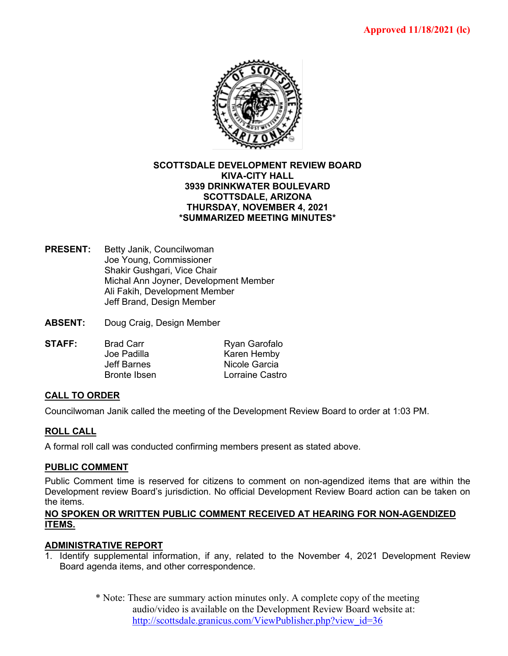

## **SCOTTSDALE DEVELOPMENT REVIEW BOARD KIVA-CITY HALL 3939 DRINKWATER BOULEVARD SCOTTSDALE, ARIZONA THURSDAY, NOVEMBER 4, 2021 \*SUMMARIZED MEETING MINUTES\***

- **PRESENT:** Betty Janik, Councilwoman Joe Young, Commissioner Shakir Gushgari, Vice Chair Michal Ann Joyner, Development Member Ali Fakih, Development Member Jeff Brand, Design Member
- **ABSENT:** Doug Craig, Design Member

| STAFF: | <b>Brad Carr</b>    | Ryan Garofalo   |
|--------|---------------------|-----------------|
|        | Joe Padilla         | Karen Hemby     |
|        | Jeff Barnes         | Nicole Garcia   |
|        | <b>Bronte Ibsen</b> | Lorraine Castro |
|        |                     |                 |

## **CALL TO ORDER**

Councilwoman Janik called the meeting of the Development Review Board to order at 1:03 PM.

#### **ROLL CALL**

A formal roll call was conducted confirming members present as stated above.

#### **PUBLIC COMMENT**

Public Comment time is reserved for citizens to comment on non-agendized items that are within the Development review Board's jurisdiction. No official Development Review Board action can be taken on the items.

### **NO SPOKEN OR WRITTEN PUBLIC COMMENT RECEIVED AT HEARING FOR NON-AGENDIZED ITEMS.**

#### **ADMINISTRATIVE REPORT**

- 1. Identify supplemental information, if any, related to the November 4, 2021 Development Review Board agenda items, and other correspondence.
	- \* Note: These are summary action minutes only. A complete copy of the meeting audio/video is available on the Development Review Board website at: [http://scottsdale.granicus.com/ViewPublisher.php?view\\_id=36](http://scottsdale.granicus.com/ViewPublisher.php?view_id=36)